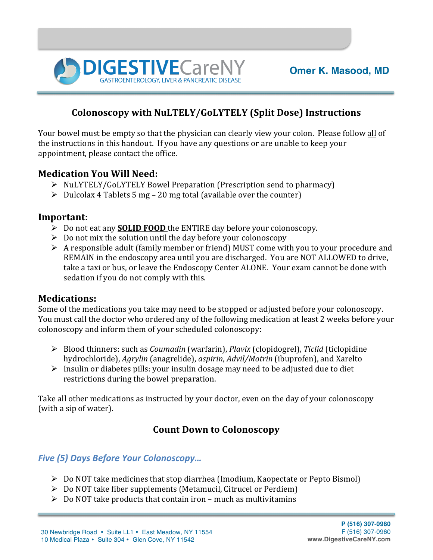

## **Colonoscopy with NuLTELY/GoLYTELY (Split Dose) Instructions**

Your bowel must be empty so that the physician can clearly view your colon. Please follow all of the instructions in this handout. If you have any questions or are unable to keep your appointment, please contact the office.

#### **Medication You Will Need:**

- $\triangleright$  NuLYTELY/GoLYTELY Bowel Preparation (Prescription send to pharmacy)
- $\triangleright$  Dulcolax 4 Tablets 5 mg 20 mg total (available over the counter)

**DIGESTIVE**CareM

#### **Important:**

- $\triangleright$  Do not eat any **SOLID FOOD** the ENTIRE day before your colonoscopy.
- $\triangleright$  Do not mix the solution until the day before your colonoscopy
- $\triangleright$  A responsible adult (family member or friend) MUST come with you to your procedure and REMAIN in the endoscopy area until you are discharged. You are NOT ALLOWED to drive, take a taxi or bus, or leave the Endoscopy Center ALONE. Your exam cannot be done with sedation if you do not comply with this.

#### **Medications:**

Some of the medications you take may need to be stopped or adjusted before your colonoscopy. You must call the doctor who ordered any of the following medication at least 2 weeks before your colonoscopy and inform them of your scheduled colonoscopy:

- Ø Blood thinners: such as *Coumadin* (warfarin), *Plavix* (clopidogrel), *Ticlid* (ticlopidine hydrochloride), *Agrylin* (anagrelide), *aspirin*, *Advil/Motrin* (ibuprofen), and Xarelto
- $\triangleright$  Insulin or diabetes pills: your insulin dosage may need to be adjusted due to diet restrictions during the bowel preparation.

Take all other medications as instructed by your doctor, even on the day of your colonoscopy (with a sip of water).

## **Count Down to Colonoscopy**

#### *Five (5) Days Before Your Colonoscopy…*

- $\triangleright$  Do NOT take medicines that stop diarrhea (Imodium, Kaopectate or Pepto Bismol)
- $\triangleright$  Do NOT take fiber supplements (Metamucil, Citrucel or Perdiem)
- $\triangleright$  Do NOT take products that contain iron much as multivitamins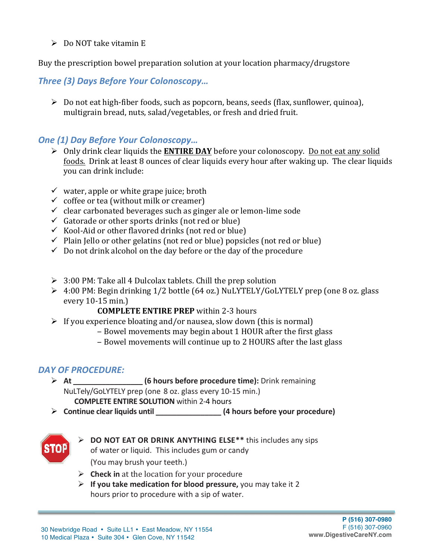$\triangleright$  Do NOT take vitamin E

Buy the prescription bowel preparation solution at your location pharmacy/drugstore

*Three (3) Days Before Your Colonoscopy…*

 $\triangleright$  Do not eat high-fiber foods, such as popcorn, beans, seeds (flax, sunflower, quinoa), multigrain bread, nuts, salad/vegetables, or fresh and dried fruit.

### **One (1) Day Before Your Colonoscopy...**

- $\triangleright$  Only drink clear liquids the **ENTIRE DAY** before your colonoscopy. Do not eat any solid foods. Drink at least 8 ounces of clear liquids every hour after waking up. The clear liquids you can drink include:
- $\checkmark$  water, apple or white grape juice; broth
- $\checkmark$  coffee or tea (without milk or creamer)
- $\checkmark$  clear carbonated beverages such as ginger ale or lemon-lime sode
- $\checkmark$  Gatorade or other sports drinks (not red or blue)
- $\checkmark$  Kool-Aid or other flavored drinks (not red or blue)
- $\checkmark$  Plain Jello or other gelatins (not red or blue) popsicles (not red or blue)
- $\checkmark$  Do not drink alcohol on the day before or the day of the procedure
- $\geq 3:00$  PM: Take all 4 Dulcolax tablets. Chill the prep solution
- $\triangleright$  4:00 PM: Begin drinking 1/2 bottle (64 oz.) NuLYTELY/GoLYTELY prep (one 8 oz. glass every  $10-15$  min.)
	- **COMPLETE ENTIRE PREP** within 2-3 hours
- $\triangleright$  If you experience bloating and/or nausea, slow down (this is normal)
	- Bowel movements may begin about 1 HOUR after the first glass
	- Bowel movements will continue up to 2 HOURS after the last glass

# *DAY OF PROCEDURE:*

- Ø **At \_\_\_\_\_\_\_\_\_\_\_\_\_\_\_\_\_ (6 hours before procedure time):** Drink remaining NuLTely/GoLYTELY prep (one 8 oz. glass every 10-15 min.) **COMPLETE ENTIRE SOLUTION** within 2-4 hours
- $\triangleright$  **Continue clear liquids until and integral (4 hours before your procedure)**



- Ø **DO NOT EAT OR DRINK ANYTHING ELSE\*\*** this includes any sips of water or liquid. This includes gum or candy (You may brush your teeth.)
- $\triangleright$  **Check in** at the location for your procedure
- $\triangleright$  If you take medication for blood pressure, you may take it 2 hours prior to procedure with a sip of water.